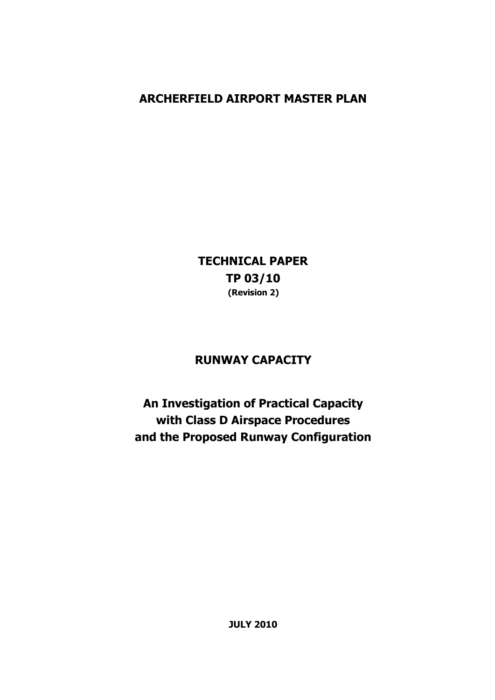# **ARCHERFIELD AIRPORT MASTER PLAN**

**TECHNICAL PAPER TP 03/10 (Revision 2)** 

## **RUNWAY CAPACITY**

**An Investigation of Practical Capacity with Class D Airspace Procedures and the Proposed Runway Configuration**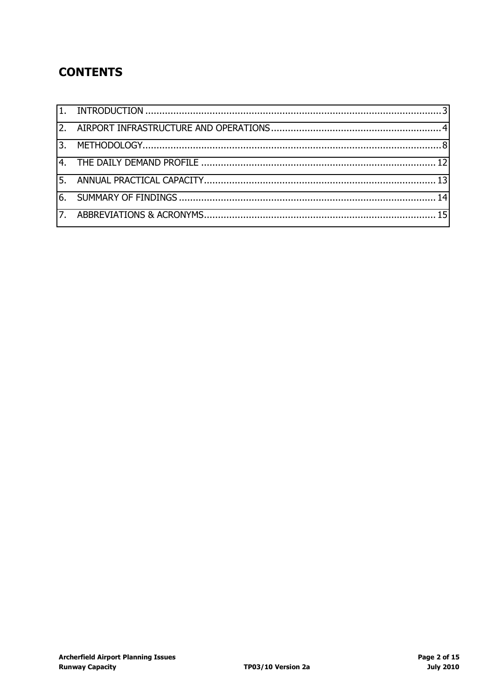# **CONTENTS**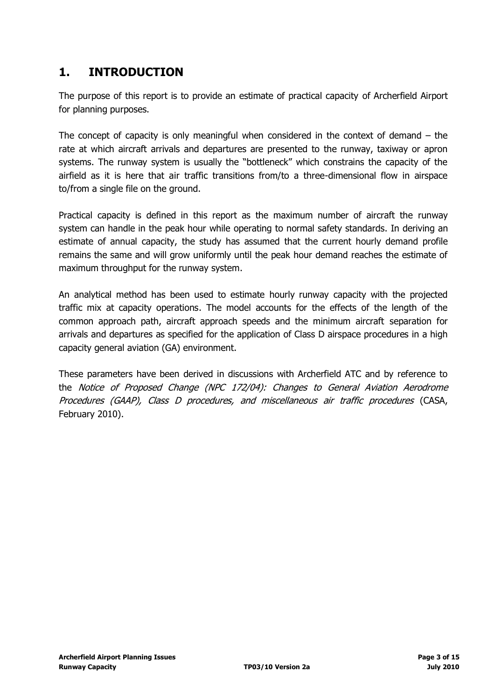## <span id="page-2-0"></span>**1. INTRODUCTION**

The purpose of this report is to provide an estimate of practical capacity of Archerfield Airport for planning purposes.

The concept of capacity is only meaningful when considered in the context of demand  $-$  the rate at which aircraft arrivals and departures are presented to the runway, taxiway or apron systems. The runway system is usually the "bottleneck" which constrains the capacity of the airfield as it is here that air traffic transitions from/to a three-dimensional flow in airspace to/from a single file on the ground.

Practical capacity is defined in this report as the maximum number of aircraft the runway system can handle in the peak hour while operating to normal safety standards. In deriving an estimate of annual capacity, the study has assumed that the current hourly demand profile remains the same and will grow uniformly until the peak hour demand reaches the estimate of maximum throughput for the runway system.

An analytical method has been used to estimate hourly runway capacity with the projected traffic mix at capacity operations. The model accounts for the effects of the length of the common approach path, aircraft approach speeds and the minimum aircraft separation for arrivals and departures as specified for the application of Class D airspace procedures in a high capacity general aviation (GA) environment.

These parameters have been derived in discussions with Archerfield ATC and by reference to the Notice of Proposed Change (NPC 172/04): Changes to General Aviation Aerodrome Procedures (GAAP), Class D procedures, and miscellaneous air traffic procedures (CASA, February 2010).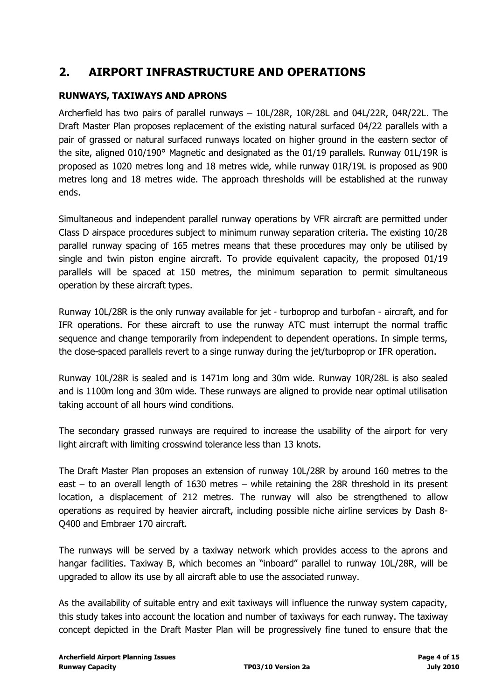## <span id="page-3-0"></span>**2. AIRPORT INFRASTRUCTURE AND OPERATIONS**

## **RUNWAYS, TAXIWAYS AND APRONS**

Archerfield has two pairs of parallel runways – 10L/28R, 10R/28L and 04L/22R, 04R/22L. The Draft Master Plan proposes replacement of the existing natural surfaced 04/22 parallels with a pair of grassed or natural surfaced runways located on higher ground in the eastern sector of the site, aligned 010/190° Magnetic and designated as the 01/19 parallels. Runway 01L/19R is proposed as 1020 metres long and 18 metres wide, while runway 01R/19L is proposed as 900 metres long and 18 metres wide. The approach thresholds will be established at the runway ends.

Simultaneous and independent parallel runway operations by VFR aircraft are permitted under Class D airspace procedures subject to minimum runway separation criteria. The existing 10/28 parallel runway spacing of 165 metres means that these procedures may only be utilised by single and twin piston engine aircraft. To provide equivalent capacity, the proposed 01/19 parallels will be spaced at 150 metres, the minimum separation to permit simultaneous operation by these aircraft types.

Runway 10L/28R is the only runway available for jet - turboprop and turbofan - aircraft, and for IFR operations. For these aircraft to use the runway ATC must interrupt the normal traffic sequence and change temporarily from independent to dependent operations. In simple terms, the close-spaced parallels revert to a singe runway during the jet/turboprop or IFR operation.

Runway 10L/28R is sealed and is 1471m long and 30m wide. Runway 10R/28L is also sealed and is 1100m long and 30m wide. These runways are aligned to provide near optimal utilisation taking account of all hours wind conditions.

The secondary grassed runways are required to increase the usability of the airport for very light aircraft with limiting crosswind tolerance less than 13 knots.

The Draft Master Plan proposes an extension of runway 10L/28R by around 160 metres to the east – to an overall length of 1630 metres – while retaining the 28R threshold in its present location, a displacement of 212 metres. The runway will also be strengthened to allow operations as required by heavier aircraft, including possible niche airline services by Dash 8- Q400 and Embraer 170 aircraft.

The runways will be served by a taxiway network which provides access to the aprons and hangar facilities. Taxiway B, which becomes an "inboard" parallel to runway 10L/28R, will be upgraded to allow its use by all aircraft able to use the associated runway.

As the availability of suitable entry and exit taxiways will influence the runway system capacity, this study takes into account the location and number of taxiways for each runway. The taxiway concept depicted in the Draft Master Plan will be progressively fine tuned to ensure that the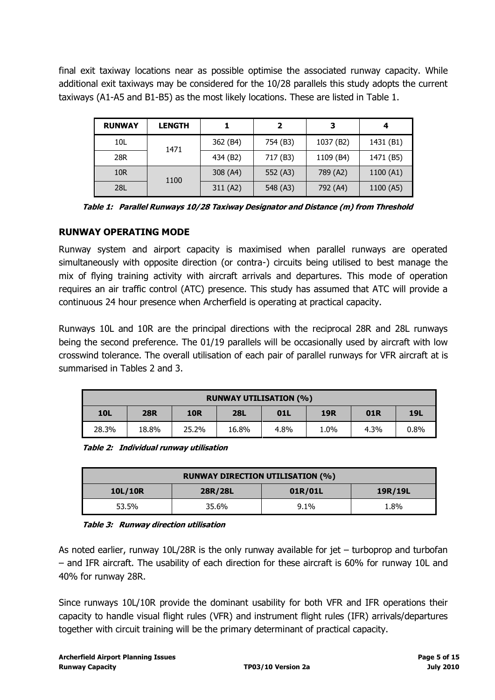final exit taxiway locations near as possible optimise the associated runway capacity. While additional exit taxiways may be considered for the 10/28 parallels this study adopts the current taxiways (A1-A5 and B1-B5) as the most likely locations. These are listed in Table 1.

| <b>RUNWAY</b>   | <b>LENGTH</b> |          | 2        | з         |           |
|-----------------|---------------|----------|----------|-----------|-----------|
| 10L             | 1471          | 362 (B4) | 754 (B3) | 1037 (B2) | 1431 (B1) |
| 28R             |               | 434 (B2) | 717 (B3) | 1109 (B4) | 1471 (B5) |
| 10 <sub>R</sub> | 1100          | 308 (A4) | 552 (A3) | 789 (A2)  | 1100 (A1) |
| <b>28L</b>      |               | 311 (A2) | 548 (A3) | 792 (A4)  | 1100 (A5) |

**Table 1: Parallel Runways 10/28 Taxiway Designator and Distance (m) from Threshold** 

## **RUNWAY OPERATING MODE**

Runway system and airport capacity is maximised when parallel runways are operated simultaneously with opposite direction (or contra-) circuits being utilised to best manage the mix of flying training activity with aircraft arrivals and departures. This mode of operation requires an air traffic control (ATC) presence. This study has assumed that ATC will provide a continuous 24 hour presence when Archerfield is operating at practical capacity.

Runways 10L and 10R are the principal directions with the reciprocal 28R and 28L runways being the second preference. The 01/19 parallels will be occasionally used by aircraft with low crosswind tolerance. The overall utilisation of each pair of parallel runways for VFR aircraft at is summarised in Tables 2 and 3.

| <b>RUNWAY UTILISATION (%)</b>                                                    |       |       |       |      |      |      |            |  |  |  |
|----------------------------------------------------------------------------------|-------|-------|-------|------|------|------|------------|--|--|--|
| <b>10L</b><br><b>28L</b><br>01R<br><b>10R</b><br><b>28R</b><br><b>19R</b><br>01L |       |       |       |      |      |      | <b>19L</b> |  |  |  |
| 28.3%                                                                            | 18.8% | 25.2% | 16.8% | 4.8% | 1.0% | 4.3% | 0.8%       |  |  |  |

**Table 2: Individual runway utilisation** 

| <b>RUNWAY DIRECTION UTILISATION (%)</b> |         |         |         |  |  |  |  |  |
|-----------------------------------------|---------|---------|---------|--|--|--|--|--|
| 10L/10R                                 | 28R/28L | 01R/01L | 19R/19L |  |  |  |  |  |
| 53.5%                                   | 35.6%   | 9.1%    | 1.8%    |  |  |  |  |  |

## **Table 3: Runway direction utilisation**

As noted earlier, runway 10L/28R is the only runway available for jet – turboprop and turbofan – and IFR aircraft. The usability of each direction for these aircraft is 60% for runway 10L and 40% for runway 28R.

Since runways 10L/10R provide the dominant usability for both VFR and IFR operations their capacity to handle visual flight rules (VFR) and instrument flight rules (IFR) arrivals/departures together with circuit training will be the primary determinant of practical capacity.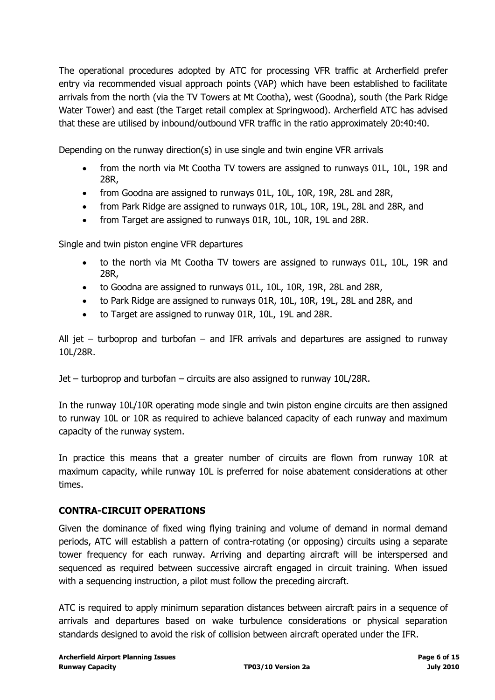The operational procedures adopted by ATC for processing VFR traffic at Archerfield prefer entry via recommended visual approach points (VAP) which have been established to facilitate arrivals from the north (via the TV Towers at Mt Cootha), west (Goodna), south (the Park Ridge Water Tower) and east (the Target retail complex at Springwood). Archerfield ATC has advised that these are utilised by inbound/outbound VFR traffic in the ratio approximately 20:40:40.

Depending on the runway direction(s) in use single and twin engine VFR arrivals

- from the north via Mt Cootha TV towers are assigned to runways 01L, 10L, 19R and 28R,
- from Goodna are assigned to runways 01L, 10L, 10R, 19R, 28L and 28R,
- from Park Ridge are assigned to runways 01R, 10L, 10R, 19L, 28L and 28R, and
- from Target are assigned to runways 01R, 10L, 10R, 19L and 28R.

Single and twin piston engine VFR departures

- to the north via Mt Cootha TV towers are assigned to runways 01L, 10L, 19R and 28R,
- to Goodna are assigned to runways 01L, 10L, 10R, 19R, 28L and 28R,
- to Park Ridge are assigned to runways 01R, 10L, 10R, 19L, 28L and 28R, and
- to Target are assigned to runway 01R, 10L, 19L and 28R.

All jet – turboprop and turbofan – and IFR arrivals and departures are assigned to runway 10L/28R.

Jet – turboprop and turbofan – circuits are also assigned to runway 10L/28R.

In the runway 10L/10R operating mode single and twin piston engine circuits are then assigned to runway 10L or 10R as required to achieve balanced capacity of each runway and maximum capacity of the runway system.

In practice this means that a greater number of circuits are flown from runway 10R at maximum capacity, while runway 10L is preferred for noise abatement considerations at other times.

## **CONTRA-CIRCUIT OPERATIONS**

Given the dominance of fixed wing flying training and volume of demand in normal demand periods, ATC will establish a pattern of contra-rotating (or opposing) circuits using a separate tower frequency for each runway. Arriving and departing aircraft will be interspersed and sequenced as required between successive aircraft engaged in circuit training. When issued with a sequencing instruction, a pilot must follow the preceding aircraft.

ATC is required to apply minimum separation distances between aircraft pairs in a sequence of arrivals and departures based on wake turbulence considerations or physical separation standards designed to avoid the risk of collision between aircraft operated under the IFR.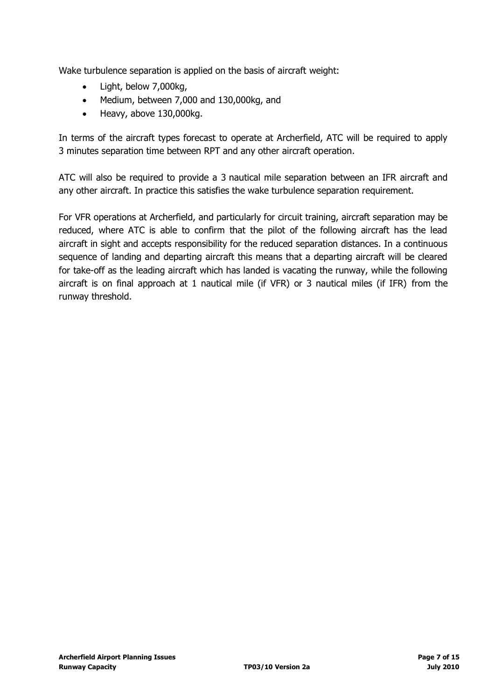Wake turbulence separation is applied on the basis of aircraft weight:

- Light, below 7,000kg,
- Medium, between 7,000 and 130,000kg, and
- $\bullet$  Heavy, above 130,000kg.

In terms of the aircraft types forecast to operate at Archerfield, ATC will be required to apply 3 minutes separation time between RPT and any other aircraft operation.

ATC will also be required to provide a 3 nautical mile separation between an IFR aircraft and any other aircraft. In practice this satisfies the wake turbulence separation requirement.

For VFR operations at Archerfield, and particularly for circuit training, aircraft separation may be reduced, where ATC is able to confirm that the pilot of the following aircraft has the lead aircraft in sight and accepts responsibility for the reduced separation distances. In a continuous sequence of landing and departing aircraft this means that a departing aircraft will be cleared for take-off as the leading aircraft which has landed is vacating the runway, while the following aircraft is on final approach at 1 nautical mile (if VFR) or 3 nautical miles (if IFR) from the runway threshold.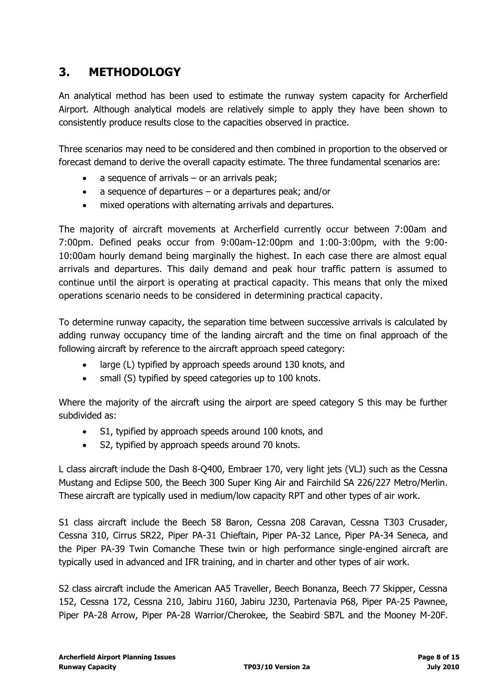# <span id="page-7-0"></span>**3. METHODOLOGY**

An analytical method has been used to estimate the runway system capacity for Archerfield Airport. Although analytical models are relatively simple to apply they have been shown to consistently produce results close to the capacities observed in practice.

Three scenarios may need to be considered and then combined in proportion to the observed or forecast demand to derive the overall capacity estimate. The three fundamental scenarios are:

- a sequence of arrivals or an arrivals peak;
- a sequence of departures or a departures peak; and/or
- mixed operations with alternating arrivals and departures.

The majority of aircraft movements at Archerfield currently occur between 7:00am and 7:00pm. Defined peaks occur from 9:00am-12:00pm and 1:00-3:00pm, with the 9:00- 10:00am hourly demand being marginally the highest. In each case there are almost equal arrivals and departures. This daily demand and peak hour traffic pattern is assumed to continue until the airport is operating at practical capacity. This means that only the mixed operations scenario needs to be considered in determining practical capacity.

To determine runway capacity, the separation time between successive arrivals is calculated by adding runway occupancy time of the landing aircraft and the time on final approach of the following aircraft by reference to the aircraft approach speed category:

- large (L) typified by approach speeds around 130 knots, and
- small (S) typified by speed categories up to 100 knots.

Where the majority of the aircraft using the airport are speed category S this may be further subdivided as:

- S1, typified by approach speeds around 100 knots, and
- S2, typified by approach speeds around 70 knots.

L class aircraft include the Dash 8-Q400, Embraer 170, very light jets (VLJ) such as the Cessna Mustang and Eclipse 500, the Beech 300 Super King Air and Fairchild SA 226/227 Metro/Merlin. These aircraft are typically used in medium/low capacity RPT and other types of air work.

S1 class aircraft include the Beech 58 Baron, Cessna 208 Caravan, Cessna T303 Crusader, Cessna 310, Cirrus SR22, Piper PA-31 Chieftain, Piper PA-32 Lance, Piper PA-34 Seneca, and the Piper PA-39 Twin Comanche These twin or high performance single-engined aircraft are typically used in advanced and IFR training, and in charter and other types of air work.

S2 class aircraft include the American AA5 Traveller, Beech Bonanza, Beech 77 Skipper, Cessna 152, Cessna 172, Cessna 210, Jabiru J160, Jabiru J230, Partenavia P68, Piper PA-25 Pawnee, Piper PA-28 Arrow, Piper PA-28 Warrior/Cherokee, the Seabird SB7L and the Mooney M-20F.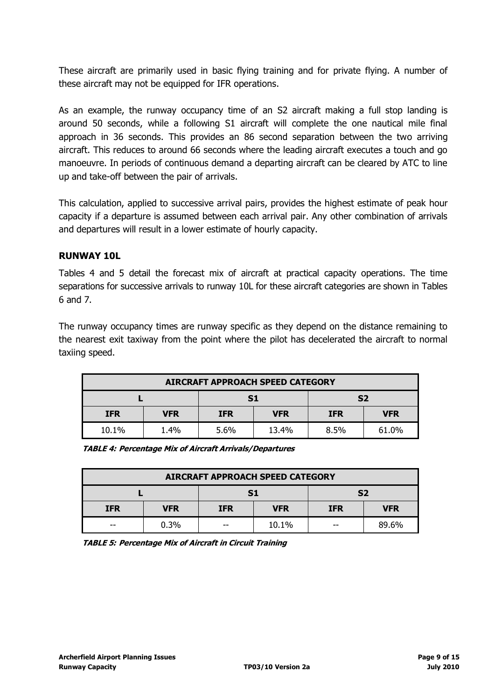These aircraft are primarily used in basic flying training and for private flying. A number of these aircraft may not be equipped for IFR operations.

As an example, the runway occupancy time of an S2 aircraft making a full stop landing is around 50 seconds, while a following S1 aircraft will complete the one nautical mile final approach in 36 seconds. This provides an 86 second separation between the two arriving aircraft. This reduces to around 66 seconds where the leading aircraft executes a touch and go manoeuvre. In periods of continuous demand a departing aircraft can be cleared by ATC to line up and take-off between the pair of arrivals.

This calculation, applied to successive arrival pairs, provides the highest estimate of peak hour capacity if a departure is assumed between each arrival pair. Any other combination of arrivals and departures will result in a lower estimate of hourly capacity.

## **RUNWAY 10L**

Tables 4 and 5 detail the forecast mix of aircraft at practical capacity operations. The time separations for successive arrivals to runway 10L for these aircraft categories are shown in Tables 6 and 7.

The runway occupancy times are runway specific as they depend on the distance remaining to the nearest exit taxiway from the point where the pilot has decelerated the aircraft to normal taxiing speed.

| <b>AIRCRAFT APPROACH SPEED CATEGORY</b> |            |                          |       |                |            |  |  |  |  |
|-----------------------------------------|------------|--------------------------|-------|----------------|------------|--|--|--|--|
|                                         |            | S1                       |       | S <sub>2</sub> |            |  |  |  |  |
| <b>IFR</b>                              | <b>VFR</b> | <b>VFR</b><br><b>IFR</b> |       | <b>IFR</b>     | <b>VFR</b> |  |  |  |  |
| 10.1%                                   | 1.4%       | 5.6%                     | 13.4% | 8.5%           | 61.0%      |  |  |  |  |

| <b>TABLE 4: Percentage Mix of Aircraft Arrivals/Departures</b> |  |
|----------------------------------------------------------------|--|
|----------------------------------------------------------------|--|

| <b>AIRCRAFT APPROACH SPEED CATEGORY</b> |            |            |            |                |            |  |  |  |  |  |
|-----------------------------------------|------------|------------|------------|----------------|------------|--|--|--|--|--|
|                                         |            | S1         |            | S <sub>2</sub> |            |  |  |  |  |  |
| <b>IFR</b>                              | <b>VFR</b> | <b>IFR</b> | <b>VFR</b> |                | <b>VFR</b> |  |  |  |  |  |
| $- -$                                   | 0.3%       | --         | 10.1%      | --             | 89.6%      |  |  |  |  |  |

**TABLE 5: Percentage Mix of Aircraft in Circuit Training**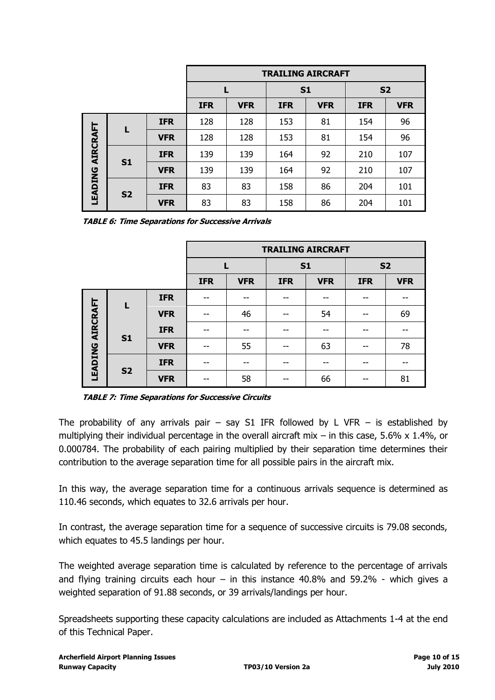|                         |                |            | <b>TRAILING AIRCRAFT</b> |            |                |            |            |            |
|-------------------------|----------------|------------|--------------------------|------------|----------------|------------|------------|------------|
|                         |                |            |                          |            | S <sub>1</sub> |            | <b>S2</b>  |            |
|                         |                |            | <b>IFR</b>               | <b>VFR</b> | <b>IFR</b>     | <b>VFR</b> | <b>IFR</b> | <b>VFR</b> |
|                         |                | <b>IFR</b> | 128                      | 128        | 153            | 81         | 154        | 96         |
|                         |                | <b>VFR</b> | 128                      | 128        | 153            | 81         | 154        | 96         |
|                         |                | <b>IFR</b> | 139                      | 139        | 164            | 92         | 210        | 107        |
|                         | S <sub>1</sub> | <b>VFR</b> | 139                      | 139        | 164            | 92         | 210        | 107        |
| <b>LEADING AIRCRAFT</b> |                | <b>IFR</b> | 83                       | 83         | 158            | 86         | 204        | 101        |
|                         | <b>S2</b>      | <b>VFR</b> | 83                       | 83         | 158            | 86         | 204        | 101        |

**TABLE 6: Time Separations for Successive Arrivals** 

|                         |                |            |            | <b>TRAILING AIRCRAFT</b> |            |            |            |            |
|-------------------------|----------------|------------|------------|--------------------------|------------|------------|------------|------------|
|                         |                |            |            |                          | <b>S1</b>  |            | <b>S2</b>  |            |
|                         |                |            | <b>IFR</b> | <b>VFR</b>               | <b>IFR</b> | <b>VFR</b> | <b>IFR</b> | <b>VFR</b> |
|                         |                | <b>IFR</b> |            |                          | --         |            |            | --         |
|                         |                | <b>VFR</b> | --         | 46                       | --         | 54         | --         | 69         |
|                         |                | <b>IFR</b> | $- -$      |                          | --         |            |            | --         |
|                         | S <sub>1</sub> | <b>VFR</b> | $- -$      | 55                       | --         | 63         | --         | 78         |
| <b>LEADING AIRCRAFT</b> |                | <b>IFR</b> | $- -$      | --                       | --         | --         |            | --         |
|                         | <b>S2</b>      | <b>VFR</b> | --         | 58                       | --         | 66         |            | 81         |

**TABLE 7: Time Separations for Successive Circuits** 

The probability of any arrivals pair – say S1 IFR followed by L VFR – is established by multiplying their individual percentage in the overall aircraft mix – in this case, 5.6% x 1.4%, or 0.000784. The probability of each pairing multiplied by their separation time determines their contribution to the average separation time for all possible pairs in the aircraft mix.

In this way, the average separation time for a continuous arrivals sequence is determined as 110.46 seconds, which equates to 32.6 arrivals per hour.

In contrast, the average separation time for a sequence of successive circuits is 79.08 seconds, which equates to 45.5 landings per hour.

The weighted average separation time is calculated by reference to the percentage of arrivals and flying training circuits each hour – in this instance  $40.8\%$  and  $59.2\%$  - which gives a weighted separation of 91.88 seconds, or 39 arrivals/landings per hour.

Spreadsheets supporting these capacity calculations are included as Attachments 1-4 at the end of this Technical Paper.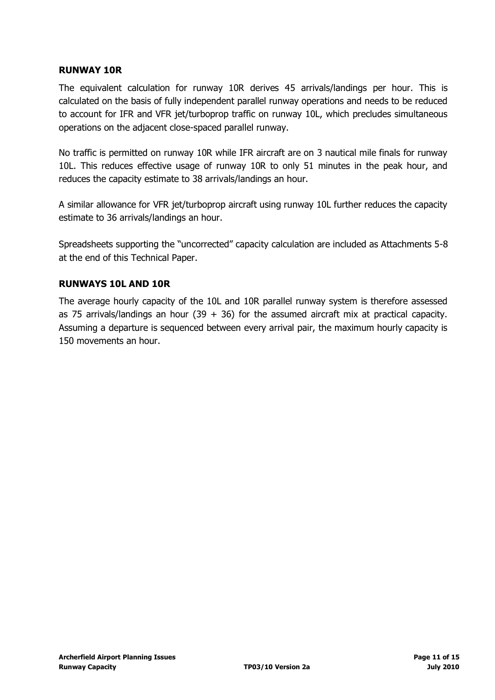## **RUNWAY 10R**

The equivalent calculation for runway 10R derives 45 arrivals/landings per hour. This is calculated on the basis of fully independent parallel runway operations and needs to be reduced to account for IFR and VFR jet/turboprop traffic on runway 10L, which precludes simultaneous operations on the adjacent close-spaced parallel runway.

No traffic is permitted on runway 10R while IFR aircraft are on 3 nautical mile finals for runway 10L. This reduces effective usage of runway 10R to only 51 minutes in the peak hour, and reduces the capacity estimate to 38 arrivals/landings an hour.

A similar allowance for VFR jet/turboprop aircraft using runway 10L further reduces the capacity estimate to 36 arrivals/landings an hour.

Spreadsheets supporting the "uncorrected" capacity calculation are included as Attachments 5-8 at the end of this Technical Paper.

## **RUNWAYS 10L AND 10R**

The average hourly capacity of the 10L and 10R parallel runway system is therefore assessed as 75 arrivals/landings an hour (39 + 36) for the assumed aircraft mix at practical capacity. Assuming a departure is sequenced between every arrival pair, the maximum hourly capacity is 150 movements an hour.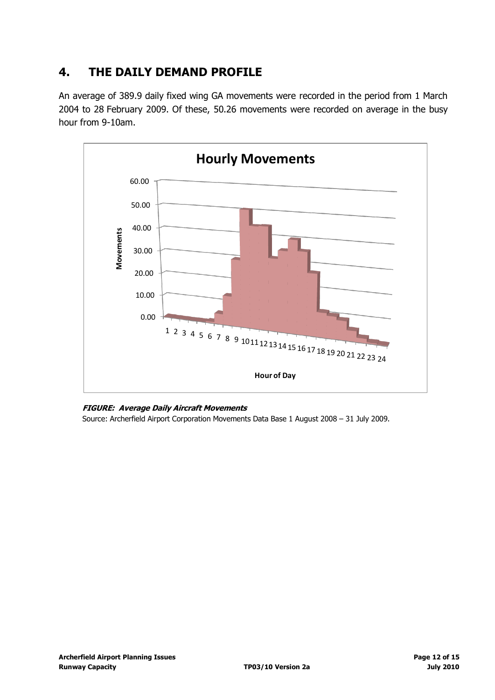## <span id="page-11-0"></span>**4. THE DAILY DEMAND PROFILE**

An average of 389.9 daily fixed wing GA movements were recorded in the period from 1 March 2004 to 28 February 2009. Of these, 50.26 movements were recorded on average in the busy hour from 9-10am.



#### **FIGURE: Average Daily Aircraft Movements**

Source: Archerfield Airport Corporation Movements Data Base 1 August 2008 – 31 July 2009.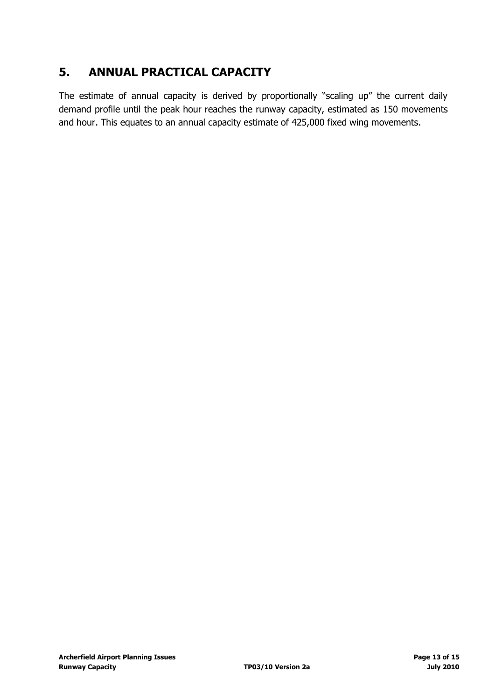## <span id="page-12-0"></span>**5. ANNUAL PRACTICAL CAPACITY**

The estimate of annual capacity is derived by proportionally "scaling up" the current daily demand profile until the peak hour reaches the runway capacity, estimated as 150 movements and hour. This equates to an annual capacity estimate of 425,000 fixed wing movements.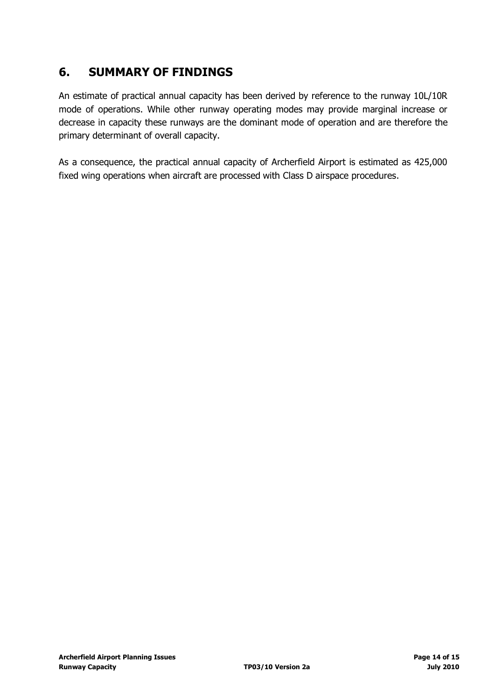## <span id="page-13-0"></span>**6. SUMMARY OF FINDINGS**

An estimate of practical annual capacity has been derived by reference to the runway 10L/10R mode of operations. While other runway operating modes may provide marginal increase or decrease in capacity these runways are the dominant mode of operation and are therefore the primary determinant of overall capacity.

As a consequence, the practical annual capacity of Archerfield Airport is estimated as 425,000 fixed wing operations when aircraft are processed with Class D airspace procedures.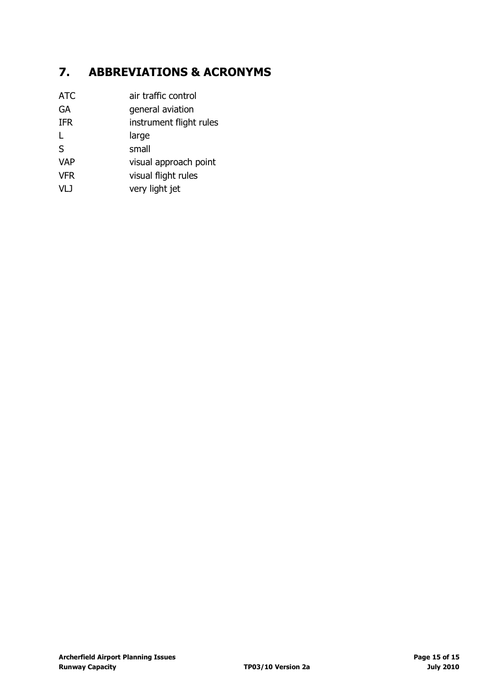# <span id="page-14-0"></span>**7. ABBREVIATIONS & ACRONYMS**

| <b>ATC</b> | air traffic control     |
|------------|-------------------------|
| GA         | general aviation        |
| <b>IFR</b> | instrument flight rules |
|            | large                   |
| S          | small                   |
| <b>VAP</b> | visual approach point   |
| <b>VFR</b> | visual flight rules     |
| VLJ        | very light jet          |
|            |                         |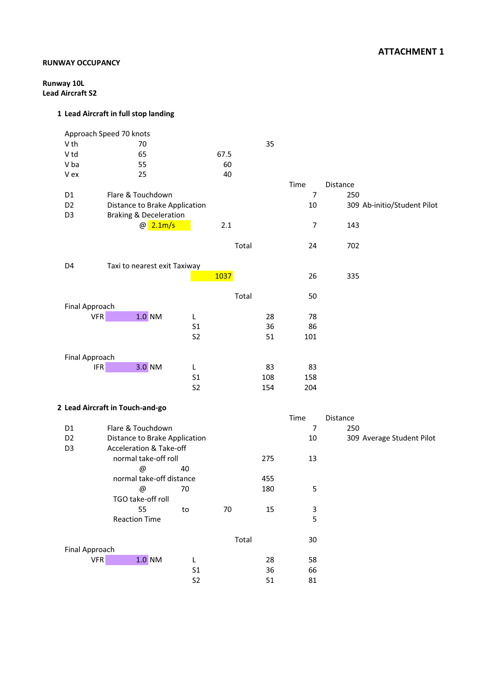### **RUNWAY OCCUPANCY**

**Runway 10L Lead Aircraft S2**

|                 | Approach Speed 70 knots            |                |       |     |                           |          |                             |
|-----------------|------------------------------------|----------------|-------|-----|---------------------------|----------|-----------------------------|
| V th            | 70                                 |                |       | 35  |                           |          |                             |
| V <sub>td</sub> | 65                                 |                | 67.5  |     |                           |          |                             |
| V ba            | 55                                 |                | 60    |     |                           |          |                             |
| V ex            | 25                                 |                | 40    |     |                           |          |                             |
|                 |                                    |                |       |     | Time                      | Distance |                             |
| D1              | Flare & Touchdown                  |                |       |     | $\overline{7}$            | 250      |                             |
| D <sub>2</sub>  | Distance to Brake Application      |                |       |     | 10                        |          | 309 Ab-initio/Student Pilot |
| D <sub>3</sub>  | <b>Braking &amp; Deceleration</b>  |                |       |     |                           |          |                             |
|                 | @2.1m/s                            |                | 2.1   |     | 7                         | 143      |                             |
|                 |                                    |                |       |     |                           |          |                             |
|                 |                                    |                | Total |     | 24                        | 702      |                             |
|                 |                                    |                |       |     |                           |          |                             |
| D4              | Taxi to nearest exit Taxiway       |                |       |     |                           |          |                             |
|                 |                                    |                | 1037  |     | 26                        | 335      |                             |
|                 |                                    |                | Total |     | 50                        |          |                             |
| Final Approach  |                                    |                |       |     |                           |          |                             |
| <b>VFR</b>      | $1.0$ NM                           | L              |       | 28  | 78                        |          |                             |
|                 |                                    | S <sub>1</sub> |       | 36  | 86                        |          |                             |
|                 |                                    | S <sub>2</sub> |       | 51  | 101                       |          |                             |
|                 |                                    |                |       |     |                           |          |                             |
| Final Approach  |                                    |                |       |     |                           |          |                             |
| <b>IFR</b>      | 3.0 NM                             | L              |       | 83  | 83                        |          |                             |
|                 |                                    | S <sub>1</sub> |       | 108 | 158                       |          |                             |
|                 |                                    | S <sub>2</sub> |       | 154 | 204                       |          |                             |
|                 |                                    |                |       |     |                           |          |                             |
|                 | 2 Lead Aircraft in Touch-and-go    |                |       |     |                           |          |                             |
|                 |                                    |                |       |     | Time                      | Distance |                             |
| D <sub>1</sub>  | Flare & Touchdown                  |                |       |     | $\overline{7}$            | 250      |                             |
| D <sub>2</sub>  | Distance to Brake Application      |                |       |     | 10                        |          | 309 Average Student Pilot   |
| D <sub>3</sub>  | <b>Acceleration &amp; Take-off</b> |                |       |     |                           |          |                             |
|                 | normal take-off roll               |                |       | 275 | 13                        |          |                             |
|                 | @                                  | 40             |       |     |                           |          |                             |
|                 | normal take-off distance           |                |       | 455 |                           |          |                             |
|                 | @                                  | 70             |       | 180 | 5                         |          |                             |
|                 | TGO take-off roll                  |                |       |     |                           |          |                             |
|                 | 55                                 | ${\sf to}$     | 70    | 15  | $\ensuremath{\mathsf{3}}$ |          |                             |
|                 | <b>Reaction Time</b>               |                |       |     | 5                         |          |                             |
|                 |                                    |                | Total |     | 30                        |          |                             |
| Final Approach  |                                    |                |       |     |                           |          |                             |
| VFR             | $1.0$ NM                           | L              |       | 28  | 58                        |          |                             |
|                 |                                    | S <sub>1</sub> |       | 36  | 66                        |          |                             |
|                 |                                    | S <sub>2</sub> |       | 51  | 81                        |          |                             |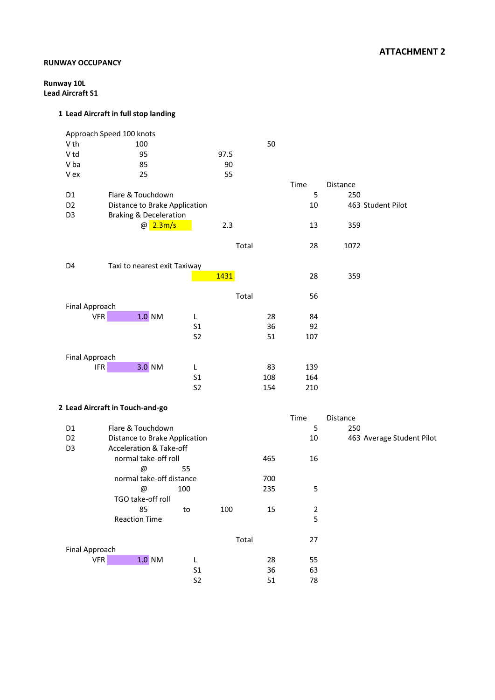## **ATTACHMENT 2**

### **RUNWAY OCCUPANCY**

**Runway 10L Lead Aircraft S1**

|                | Approach Speed 100 knots              |                                  |       |            |             |          |                           |
|----------------|---------------------------------------|----------------------------------|-------|------------|-------------|----------|---------------------------|
| V th           | 100                                   |                                  |       | 50         |             |          |                           |
| V td           | 95                                    |                                  | 97.5  |            |             |          |                           |
| V ba           | 85                                    |                                  | 90    |            |             |          |                           |
| V ex           | 25                                    |                                  | 55    |            |             |          |                           |
|                |                                       |                                  |       |            | Time        | Distance |                           |
| D1             | Flare & Touchdown                     |                                  |       |            | 5           | 250      |                           |
| D <sub>2</sub> | Distance to Brake Application         |                                  |       |            | 10          |          | 463 Student Pilot         |
| D <sub>3</sub> | <b>Braking &amp; Deceleration</b>     |                                  |       |            |             |          |                           |
|                | @ 2.3m/s                              |                                  | 2.3   |            | 13          | 359      |                           |
|                |                                       |                                  |       |            |             |          |                           |
|                |                                       |                                  | Total |            | 28          | 1072     |                           |
|                |                                       |                                  |       |            |             |          |                           |
| D4             | Taxi to nearest exit Taxiway          |                                  |       |            |             |          |                           |
|                |                                       |                                  | 1431  |            | 28          | 359      |                           |
|                |                                       |                                  |       |            |             |          |                           |
|                |                                       |                                  | Total |            | 56          |          |                           |
| Final Approach |                                       |                                  |       |            |             |          |                           |
|                | <b>VFR</b><br>$1.0$ NM                | L                                |       | 28         | 84          |          |                           |
|                |                                       | S <sub>1</sub>                   |       | 36         | 92          |          |                           |
|                |                                       | S <sub>2</sub>                   |       | 51         | 107         |          |                           |
|                |                                       |                                  |       |            |             |          |                           |
| Final Approach |                                       |                                  |       |            |             |          |                           |
|                | $\ensuremath{\mathsf{IFR}}$<br>3.0 NM | L                                |       | 83         | 139         |          |                           |
|                |                                       | S <sub>1</sub><br>S <sub>2</sub> |       | 108<br>154 | 164<br>210  |          |                           |
|                |                                       |                                  |       |            |             |          |                           |
|                | 2 Lead Aircraft in Touch-and-go       |                                  |       |            |             |          |                           |
|                |                                       |                                  |       |            | Time        | Distance |                           |
| D1             | Flare & Touchdown                     |                                  |       |            | 5           | 250      |                           |
| D <sub>2</sub> | Distance to Brake Application         |                                  |       |            | 10          |          | 463 Average Student Pilot |
| D <sub>3</sub> | Acceleration & Take-off               |                                  |       |            |             |          |                           |
|                | normal take-off roll                  |                                  |       | 465        | 16          |          |                           |
|                | $\circledcirc$                        | 55                               |       |            |             |          |                           |
|                | normal take-off distance              |                                  |       | 700        |             |          |                           |
|                | $^{\copyright}$                       | 100                              |       | 235        | 5           |          |                           |
|                | TGO take-off roll                     |                                  |       |            |             |          |                           |
|                | 85                                    | to                               | 100   | 15         | $\mathbf 2$ |          |                           |
|                | <b>Reaction Time</b>                  |                                  |       |            | 5           |          |                           |
|                |                                       |                                  |       |            |             |          |                           |
|                |                                       |                                  | Total |            | 27          |          |                           |
| Final Approach |                                       |                                  |       |            |             |          |                           |
|                | <b>VFR</b><br>$1.0$ NM                | L                                |       | 28         | 55          |          |                           |
|                |                                       | S <sub>1</sub>                   |       | 36         | 63          |          |                           |
|                |                                       | S <sub>2</sub>                   |       | 51         | 78          |          |                           |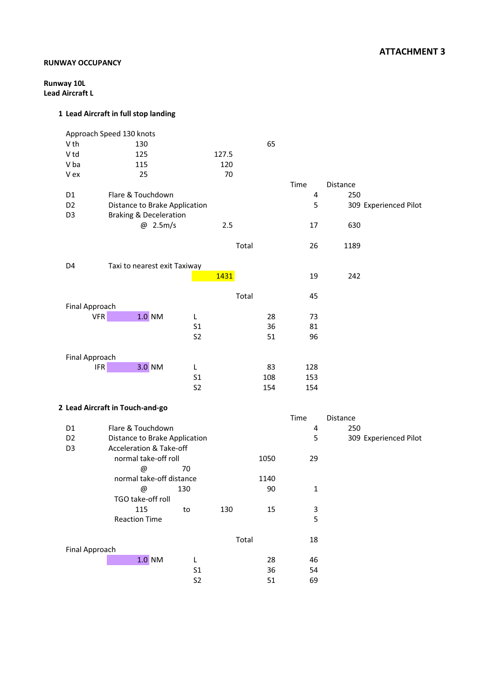### **ATTACHMENT 3**

### **RUNWAY OCCUPANCY**

**Runway 10L Lead Aircraft L**

|                       | Approach Speed 130 knots          |                                  |       |          |              |          |                       |
|-----------------------|-----------------------------------|----------------------------------|-------|----------|--------------|----------|-----------------------|
| V th                  | 130                               |                                  |       | 65       |              |          |                       |
| V <sub>td</sub>       | 125                               |                                  | 127.5 |          |              |          |                       |
| V ba                  | 115                               |                                  | 120   |          |              |          |                       |
| V ex                  | 25                                |                                  | 70    |          |              |          |                       |
|                       |                                   |                                  |       |          | Time         | Distance |                       |
| D1                    | Flare & Touchdown                 |                                  |       |          | 4            | 250      |                       |
| D <sub>2</sub>        | Distance to Brake Application     |                                  |       |          | 5            |          | 309 Experienced Pilot |
| D <sub>3</sub>        | <b>Braking &amp; Deceleration</b> |                                  |       |          |              |          |                       |
|                       | @ 2.5m/s                          |                                  | 2.5   |          | 17           | 630      |                       |
|                       |                                   |                                  |       |          |              |          |                       |
|                       |                                   |                                  | Total |          | 26           | 1189     |                       |
|                       |                                   |                                  |       |          |              |          |                       |
| D4                    | Taxi to nearest exit Taxiway      |                                  |       |          |              |          |                       |
|                       |                                   |                                  | 1431  |          | 19           | 242      |                       |
|                       |                                   |                                  |       |          |              |          |                       |
|                       |                                   |                                  | Total |          | 45           |          |                       |
| Final Approach        |                                   |                                  |       |          |              |          |                       |
| <b>VFR</b>            | $1.0$ NM                          | L                                |       | 28       | 73           |          |                       |
|                       |                                   | S <sub>1</sub>                   |       | 36       | 81           |          |                       |
|                       |                                   | S <sub>2</sub>                   |       | 51       | 96           |          |                       |
|                       |                                   |                                  |       |          |              |          |                       |
| Final Approach        |                                   |                                  |       |          |              |          |                       |
| <b>IFR</b>            | 3.0 NM                            | L                                |       | 83       | 128          |          |                       |
|                       |                                   | S <sub>1</sub>                   |       | 108      | 153          |          |                       |
|                       |                                   | S <sub>2</sub>                   |       | 154      | 154          |          |                       |
|                       |                                   |                                  |       |          |              |          |                       |
|                       | 2 Lead Aircraft in Touch-and-go   |                                  |       |          |              |          |                       |
|                       |                                   |                                  |       |          | Time         | Distance |                       |
| D1                    | Flare & Touchdown                 |                                  |       |          | 4            | 250      |                       |
| D <sub>2</sub>        | Distance to Brake Application     |                                  |       |          | 5            |          | 309 Experienced Pilot |
| D <sub>3</sub>        | Acceleration & Take-off           |                                  |       |          |              |          |                       |
|                       | normal take-off roll              |                                  |       | 1050     | 29           |          |                       |
|                       | @                                 | 70                               |       |          |              |          |                       |
|                       | normal take-off distance          |                                  |       | 1140     |              |          |                       |
|                       | @                                 | 130                              |       | 90       | $\mathbf{1}$ |          |                       |
|                       | TGO take-off roll                 |                                  |       |          |              |          |                       |
|                       | 115                               | to                               | 130   | 15       | 3            |          |                       |
|                       | <b>Reaction Time</b>              |                                  |       |          | 5            |          |                       |
|                       |                                   |                                  |       |          |              |          |                       |
|                       |                                   |                                  | Total |          | 18           |          |                       |
| <b>Final Approach</b> |                                   |                                  |       |          |              |          |                       |
|                       | $1.0$ NM                          | $\mathsf L$                      |       | 28       | 46           |          |                       |
|                       |                                   |                                  |       |          |              |          |                       |
|                       |                                   | S <sub>1</sub><br>S <sub>2</sub> |       | 36<br>51 | 54<br>69     |          |                       |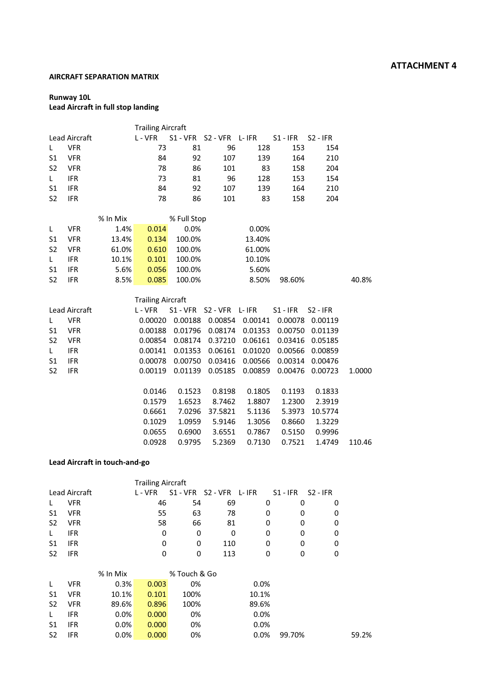#### **AIRCRAFT SEPARATION MATRIX**

## **Runway 10L**

### **Lead Aircraft in full stop landing**

|                |                      |          | <b>Trailing Aircraft</b> |             |                             |         |            |                 |        |
|----------------|----------------------|----------|--------------------------|-------------|-----------------------------|---------|------------|-----------------|--------|
|                | <b>Lead Aircraft</b> |          | L - VFR                  |             | S1 - VFR S2 - VFR L- IFR    |         | $S1 - IFR$ | $S2 - IFR$      |        |
| L              | <b>VFR</b>           |          | 73                       | 81          | 96                          | 128     | 153        | 154             |        |
| S1             | <b>VFR</b>           |          | 84                       | 92          | 107                         | 139     | 164        | 210             |        |
| S <sub>2</sub> | <b>VFR</b>           |          | 78                       | 86          | 101                         | 83      | 158        | 204             |        |
| L.             | <b>IFR</b>           |          | 73                       | 81          | 96                          | 128     | 153        | 154             |        |
| S <sub>1</sub> | <b>IFR</b>           |          | 84                       | 92          | 107                         | 139     | 164        | 210             |        |
| S <sub>2</sub> | <b>IFR</b>           |          | 78                       | 86          | 101                         | 83      | 158        | 204             |        |
|                |                      | % In Mix |                          | % Full Stop |                             |         |            |                 |        |
| L              | <b>VFR</b>           | 1.4%     | 0.014                    | 0.0%        |                             | 0.00%   |            |                 |        |
| S <sub>1</sub> | <b>VFR</b>           | 13.4%    | 0.134                    | 100.0%      |                             | 13.40%  |            |                 |        |
| S <sub>2</sub> | <b>VFR</b>           | 61.0%    | 0.610                    | 100.0%      |                             | 61.00%  |            |                 |        |
| L.             | <b>IFR</b>           | 10.1%    | 0.101                    | 100.0%      |                             | 10.10%  |            |                 |        |
| S1             | <b>IFR</b>           | 5.6%     | 0.056                    | 100.0%      |                             | 5.60%   |            |                 |        |
| S <sub>2</sub> | <b>IFR</b>           | 8.5%     | 0.085                    | 100.0%      |                             | 8.50%   | 98.60%     |                 | 40.8%  |
|                |                      |          |                          |             |                             |         |            |                 |        |
|                |                      |          | <b>Trailing Aircraft</b> |             |                             |         |            |                 |        |
|                | <b>Lead Aircraft</b> |          | L-VFR                    | S1 - VFR    | S <sub>2</sub> - VFR L- IFR |         | $S1 - IFR$ | $S2 - IFR$      |        |
| L              | <b>VFR</b>           |          | 0.00020                  | 0.00188     | 0.00854                     | 0.00141 | 0.00078    | 0.00119         |        |
| S <sub>1</sub> | <b>VFR</b>           |          | 0.00188                  | 0.01796     | 0.08174                     | 0.01353 |            | 0.00750 0.01139 |        |
| S <sub>2</sub> | <b>VFR</b>           |          | 0.00854                  | 0.08174     | 0.37210                     | 0.06161 | 0.03416    | 0.05185         |        |
| L.             | <b>IFR</b>           |          | 0.00141                  | 0.01353     | 0.06161                     | 0.01020 | 0.00566    | 0.00859         |        |
| S1             | <b>IFR</b>           |          | 0.00078                  | 0.00750     | 0.03416                     | 0.00566 | 0.00314    | 0.00476         |        |
| S <sub>2</sub> | <b>IFR</b>           |          | 0.00119                  | 0.01139     | 0.05185                     | 0.00859 | 0.00476    | 0.00723         | 1.0000 |
|                |                      |          | 0.0146                   | 0.1523      | 0.8198                      | 0.1805  | 0.1193     | 0.1833          |        |
|                |                      |          | 0.1579                   | 1.6523      | 8.7462                      | 1.8807  | 1.2300     | 2.3919          |        |
|                |                      |          | 0.6661                   | 7.0296      | 37.5821                     | 5.1136  | 5.3973     | 10.5774         |        |
|                |                      |          | 0.1029                   | 1.0959      | 5.9146                      | 1.3056  | 0.8660     | 1.3229          |        |
|                |                      |          | 0.0655                   | 0.6900      | 3.6551                      | 0.7867  | 0.5150     | 0.9996          |        |
|                |                      |          | 0.0928                   | 0.9795      | 5.2369                      | 0.7130  | 0.7521     | 1.4749          | 110.46 |
|                |                      |          |                          |             |                             |         |            |                 |        |

### **Lead Aircraft in touch-and-go**

|                |               |          | <b>Trailing Aircraft</b> |              |                             |       |            |            |       |
|----------------|---------------|----------|--------------------------|--------------|-----------------------------|-------|------------|------------|-------|
|                | Lead Aircraft |          | L - VFR                  | $S1 - VFR$   | S <sub>2</sub> - VFR L- IFR |       | $S1 - IFR$ | $S2 - IFR$ |       |
| L              | <b>VFR</b>    |          | 46                       | 54           | 69                          | 0     | 0          | 0          |       |
| S1             | <b>VFR</b>    |          | 55                       | 63           | 78                          | 0     | 0          | 0          |       |
| S <sub>2</sub> | <b>VFR</b>    |          | 58                       | 66           | 81                          | 0     | 0          | 0          |       |
| L              | IFR.          |          | 0                        | 0            | 0                           | 0     | 0          | 0          |       |
| S1             | <b>IFR</b>    |          | 0                        | 0            | 110                         | 0     | 0          | 0          |       |
| S <sub>2</sub> | <b>IFR</b>    |          | 0                        | 0            | 113                         | 0     | 0          | 0          |       |
|                |               |          |                          |              |                             |       |            |            |       |
|                |               | % In Mix |                          | % Touch & Go |                             |       |            |            |       |
| L              | <b>VFR</b>    | 0.3%     | 0.003                    | 0%           |                             | 0.0%  |            |            |       |
| S1             | <b>VFR</b>    | 10.1%    | 0.101                    | 100%         |                             | 10.1% |            |            |       |
| S <sub>2</sub> | <b>VFR</b>    | 89.6%    | 0.896                    | 100%         |                             | 89.6% |            |            |       |
| L              | <b>IFR</b>    | 0.0%     | 0.000                    | 0%           |                             | 0.0%  |            |            |       |
| S1             | <b>IFR</b>    | 0.0%     | 0.000                    | 0%           |                             | 0.0%  |            |            |       |
| S <sub>2</sub> | <b>IFR</b>    | 0.0%     | 0.000                    | 0%           |                             | 0.0%  | 99.70%     |            | 59.2% |
|                |               |          |                          |              |                             |       |            |            |       |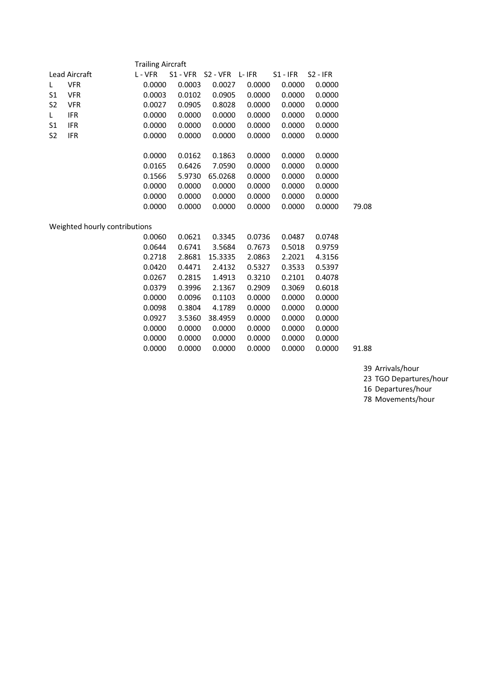|                | <b>Trailing Aircraft</b>      |         |        |                          |        |            |            |       |  |  |  |  |
|----------------|-------------------------------|---------|--------|--------------------------|--------|------------|------------|-------|--|--|--|--|
|                | Lead Aircraft                 | L - VFR |        | S1 - VFR S2 - VFR L- IFR |        | $S1 - IFR$ | $S2 - IFR$ |       |  |  |  |  |
| L.             | <b>VFR</b>                    | 0.0000  | 0.0003 | 0.0027                   | 0.0000 | 0.0000     | 0.0000     |       |  |  |  |  |
| S <sub>1</sub> | <b>VFR</b>                    | 0.0003  | 0.0102 | 0.0905                   | 0.0000 | 0.0000     | 0.0000     |       |  |  |  |  |
| S <sub>2</sub> | <b>VFR</b>                    | 0.0027  | 0.0905 | 0.8028                   | 0.0000 | 0.0000     | 0.0000     |       |  |  |  |  |
| L.             | <b>IFR</b>                    | 0.0000  | 0.0000 | 0.0000                   | 0.0000 | 0.0000     | 0.0000     |       |  |  |  |  |
| S <sub>1</sub> | <b>IFR</b>                    | 0.0000  | 0.0000 | 0.0000                   | 0.0000 | 0.0000     | 0.0000     |       |  |  |  |  |
| S <sub>2</sub> | <b>IFR</b>                    | 0.0000  | 0.0000 | 0.0000                   | 0.0000 | 0.0000     | 0.0000     |       |  |  |  |  |
|                |                               |         |        |                          |        |            |            |       |  |  |  |  |
|                |                               | 0.0000  | 0.0162 | 0.1863                   | 0.0000 | 0.0000     | 0.0000     |       |  |  |  |  |
|                |                               | 0.0165  | 0.6426 | 7.0590                   | 0.0000 | 0.0000     | 0.0000     |       |  |  |  |  |
|                |                               | 0.1566  | 5.9730 | 65.0268                  | 0.0000 | 0.0000     | 0.0000     |       |  |  |  |  |
|                |                               | 0.0000  | 0.0000 | 0.0000                   | 0.0000 | 0.0000     | 0.0000     |       |  |  |  |  |
|                |                               | 0.0000  | 0.0000 | 0.0000                   | 0.0000 | 0.0000     | 0.0000     |       |  |  |  |  |
|                |                               | 0.0000  | 0.0000 | 0.0000                   | 0.0000 | 0.0000     | 0.0000     | 79.08 |  |  |  |  |
|                |                               |         |        |                          |        |            |            |       |  |  |  |  |
|                | Weighted hourly contributions |         |        |                          |        |            |            |       |  |  |  |  |
|                |                               | 0.0060  | 0.0621 | 0.3345                   | 0.0736 | 0.0487     | 0.0748     |       |  |  |  |  |
|                |                               | 0.0644  | 0.6741 | 3.5684                   | 0.7673 | 0.5018     | 0.9759     |       |  |  |  |  |
|                |                               | 0.2718  | 2.8681 | 15.3335                  | 2.0863 | 2.2021     | 4.3156     |       |  |  |  |  |
|                |                               | 0.0420  | 0.4471 | 2.4132                   | 0.5327 | 0.3533     | 0.5397     |       |  |  |  |  |
|                |                               | 0.0267  | 0.2815 | 1.4913                   | 0.3210 | 0.2101     | 0.4078     |       |  |  |  |  |
|                |                               | 0.0379  | 0.3996 | 2.1367                   | 0.2909 | 0.3069     | 0.6018     |       |  |  |  |  |
|                |                               | 0.0000  | 0.0096 | 0.1103                   | 0.0000 | 0.0000     | 0.0000     |       |  |  |  |  |
|                |                               | 0.0098  | 0.3804 | 4.1789                   | 0.0000 | 0.0000     | 0.0000     |       |  |  |  |  |
|                |                               | 0.0927  | 3.5360 | 38.4959                  | 0.0000 | 0.0000     | 0.0000     |       |  |  |  |  |
|                |                               | 0.0000  | 0.0000 | 0.0000                   | 0.0000 | 0.0000     | 0.0000     |       |  |  |  |  |
|                |                               | 0.0000  | 0.0000 | 0.0000                   | 0.0000 | 0.0000     | 0.0000     |       |  |  |  |  |
|                |                               | 0.0000  | 0.0000 | 0.0000                   | 0.0000 | 0.0000     | 0.0000     | 91.88 |  |  |  |  |

39 Arrivals/hour

23 TGO Departures/hour

16 Departures/hour

78 Movements/hour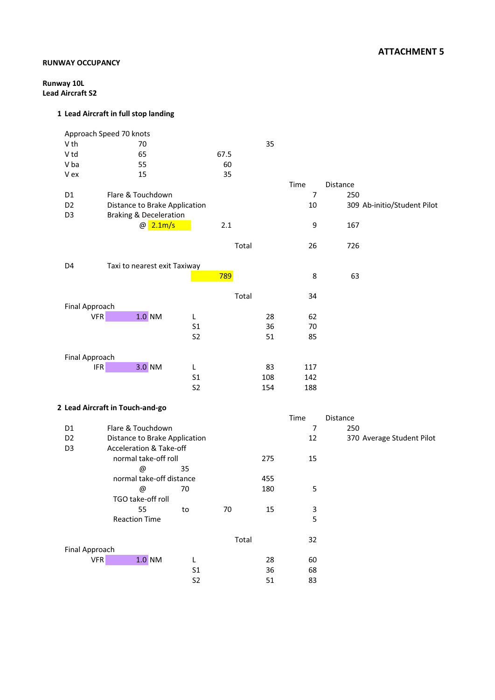### **RUNWAY OCCUPANCY**

**Runway 10L Lead Aircraft S2**

| V th<br>35<br>70<br>V <sub>td</sub><br>65<br>67.5<br>V ba<br>55<br>60<br>35<br>V ex<br>15<br>Time<br>Distance<br>$\overline{7}$<br>Flare & Touchdown<br>D <sub>1</sub><br>250<br>D <sub>2</sub><br>Distance to Brake Application<br>10<br>309 Ab-initio/Student Pilot<br><b>Braking &amp; Deceleration</b><br>D <sub>3</sub><br>@ 2.1m/s<br>2.1<br>9<br>167<br>Total<br>726<br>26<br>Taxi to nearest exit Taxiway<br>D4<br>789<br>8<br>63<br>Total<br>34<br>Final Approach<br><b>VFR</b><br>$1.0$ NM<br>28<br>62<br>L<br>S <sub>1</sub><br>36<br>70<br>S <sub>2</sub><br>51<br>85<br>Final Approach<br>3.0 NM<br><b>IFR</b><br>L<br>83<br>117<br>S <sub>1</sub><br>142<br>108<br>S <sub>2</sub><br>154<br>188<br>2 Lead Aircraft in Touch-and-go<br>Time<br>Distance<br>Flare & Touchdown<br>$\overline{7}$<br>D <sub>1</sub><br>250<br>D <sub>2</sub><br>Distance to Brake Application<br>12<br>370 Average Student Pilot<br><b>Acceleration &amp; Take-off</b><br>D <sub>3</sub><br>normal take-off roll<br>15<br>275<br>35<br>@<br>normal take-off distance<br>455<br>70<br>180<br>5<br>@<br>TGO take-off roll<br>55<br>70<br>15<br>3<br>$\mathsf{to}$<br><b>Reaction Time</b><br>5 | Approach Speed 70 knots |  |  |  |
|----------------------------------------------------------------------------------------------------------------------------------------------------------------------------------------------------------------------------------------------------------------------------------------------------------------------------------------------------------------------------------------------------------------------------------------------------------------------------------------------------------------------------------------------------------------------------------------------------------------------------------------------------------------------------------------------------------------------------------------------------------------------------------------------------------------------------------------------------------------------------------------------------------------------------------------------------------------------------------------------------------------------------------------------------------------------------------------------------------------------------------------------------------------------------------------|-------------------------|--|--|--|
|                                                                                                                                                                                                                                                                                                                                                                                                                                                                                                                                                                                                                                                                                                                                                                                                                                                                                                                                                                                                                                                                                                                                                                                        |                         |  |  |  |
|                                                                                                                                                                                                                                                                                                                                                                                                                                                                                                                                                                                                                                                                                                                                                                                                                                                                                                                                                                                                                                                                                                                                                                                        |                         |  |  |  |
|                                                                                                                                                                                                                                                                                                                                                                                                                                                                                                                                                                                                                                                                                                                                                                                                                                                                                                                                                                                                                                                                                                                                                                                        |                         |  |  |  |
|                                                                                                                                                                                                                                                                                                                                                                                                                                                                                                                                                                                                                                                                                                                                                                                                                                                                                                                                                                                                                                                                                                                                                                                        |                         |  |  |  |
|                                                                                                                                                                                                                                                                                                                                                                                                                                                                                                                                                                                                                                                                                                                                                                                                                                                                                                                                                                                                                                                                                                                                                                                        |                         |  |  |  |
|                                                                                                                                                                                                                                                                                                                                                                                                                                                                                                                                                                                                                                                                                                                                                                                                                                                                                                                                                                                                                                                                                                                                                                                        |                         |  |  |  |
|                                                                                                                                                                                                                                                                                                                                                                                                                                                                                                                                                                                                                                                                                                                                                                                                                                                                                                                                                                                                                                                                                                                                                                                        |                         |  |  |  |
|                                                                                                                                                                                                                                                                                                                                                                                                                                                                                                                                                                                                                                                                                                                                                                                                                                                                                                                                                                                                                                                                                                                                                                                        |                         |  |  |  |
|                                                                                                                                                                                                                                                                                                                                                                                                                                                                                                                                                                                                                                                                                                                                                                                                                                                                                                                                                                                                                                                                                                                                                                                        |                         |  |  |  |
|                                                                                                                                                                                                                                                                                                                                                                                                                                                                                                                                                                                                                                                                                                                                                                                                                                                                                                                                                                                                                                                                                                                                                                                        |                         |  |  |  |
|                                                                                                                                                                                                                                                                                                                                                                                                                                                                                                                                                                                                                                                                                                                                                                                                                                                                                                                                                                                                                                                                                                                                                                                        |                         |  |  |  |
|                                                                                                                                                                                                                                                                                                                                                                                                                                                                                                                                                                                                                                                                                                                                                                                                                                                                                                                                                                                                                                                                                                                                                                                        |                         |  |  |  |
|                                                                                                                                                                                                                                                                                                                                                                                                                                                                                                                                                                                                                                                                                                                                                                                                                                                                                                                                                                                                                                                                                                                                                                                        |                         |  |  |  |
|                                                                                                                                                                                                                                                                                                                                                                                                                                                                                                                                                                                                                                                                                                                                                                                                                                                                                                                                                                                                                                                                                                                                                                                        |                         |  |  |  |
|                                                                                                                                                                                                                                                                                                                                                                                                                                                                                                                                                                                                                                                                                                                                                                                                                                                                                                                                                                                                                                                                                                                                                                                        |                         |  |  |  |
|                                                                                                                                                                                                                                                                                                                                                                                                                                                                                                                                                                                                                                                                                                                                                                                                                                                                                                                                                                                                                                                                                                                                                                                        |                         |  |  |  |
|                                                                                                                                                                                                                                                                                                                                                                                                                                                                                                                                                                                                                                                                                                                                                                                                                                                                                                                                                                                                                                                                                                                                                                                        |                         |  |  |  |
|                                                                                                                                                                                                                                                                                                                                                                                                                                                                                                                                                                                                                                                                                                                                                                                                                                                                                                                                                                                                                                                                                                                                                                                        |                         |  |  |  |
|                                                                                                                                                                                                                                                                                                                                                                                                                                                                                                                                                                                                                                                                                                                                                                                                                                                                                                                                                                                                                                                                                                                                                                                        |                         |  |  |  |
|                                                                                                                                                                                                                                                                                                                                                                                                                                                                                                                                                                                                                                                                                                                                                                                                                                                                                                                                                                                                                                                                                                                                                                                        |                         |  |  |  |
|                                                                                                                                                                                                                                                                                                                                                                                                                                                                                                                                                                                                                                                                                                                                                                                                                                                                                                                                                                                                                                                                                                                                                                                        |                         |  |  |  |
|                                                                                                                                                                                                                                                                                                                                                                                                                                                                                                                                                                                                                                                                                                                                                                                                                                                                                                                                                                                                                                                                                                                                                                                        |                         |  |  |  |
|                                                                                                                                                                                                                                                                                                                                                                                                                                                                                                                                                                                                                                                                                                                                                                                                                                                                                                                                                                                                                                                                                                                                                                                        |                         |  |  |  |
|                                                                                                                                                                                                                                                                                                                                                                                                                                                                                                                                                                                                                                                                                                                                                                                                                                                                                                                                                                                                                                                                                                                                                                                        |                         |  |  |  |
|                                                                                                                                                                                                                                                                                                                                                                                                                                                                                                                                                                                                                                                                                                                                                                                                                                                                                                                                                                                                                                                                                                                                                                                        |                         |  |  |  |
|                                                                                                                                                                                                                                                                                                                                                                                                                                                                                                                                                                                                                                                                                                                                                                                                                                                                                                                                                                                                                                                                                                                                                                                        |                         |  |  |  |
|                                                                                                                                                                                                                                                                                                                                                                                                                                                                                                                                                                                                                                                                                                                                                                                                                                                                                                                                                                                                                                                                                                                                                                                        |                         |  |  |  |
|                                                                                                                                                                                                                                                                                                                                                                                                                                                                                                                                                                                                                                                                                                                                                                                                                                                                                                                                                                                                                                                                                                                                                                                        |                         |  |  |  |
|                                                                                                                                                                                                                                                                                                                                                                                                                                                                                                                                                                                                                                                                                                                                                                                                                                                                                                                                                                                                                                                                                                                                                                                        |                         |  |  |  |
|                                                                                                                                                                                                                                                                                                                                                                                                                                                                                                                                                                                                                                                                                                                                                                                                                                                                                                                                                                                                                                                                                                                                                                                        |                         |  |  |  |
|                                                                                                                                                                                                                                                                                                                                                                                                                                                                                                                                                                                                                                                                                                                                                                                                                                                                                                                                                                                                                                                                                                                                                                                        |                         |  |  |  |
|                                                                                                                                                                                                                                                                                                                                                                                                                                                                                                                                                                                                                                                                                                                                                                                                                                                                                                                                                                                                                                                                                                                                                                                        |                         |  |  |  |
|                                                                                                                                                                                                                                                                                                                                                                                                                                                                                                                                                                                                                                                                                                                                                                                                                                                                                                                                                                                                                                                                                                                                                                                        |                         |  |  |  |
|                                                                                                                                                                                                                                                                                                                                                                                                                                                                                                                                                                                                                                                                                                                                                                                                                                                                                                                                                                                                                                                                                                                                                                                        |                         |  |  |  |
|                                                                                                                                                                                                                                                                                                                                                                                                                                                                                                                                                                                                                                                                                                                                                                                                                                                                                                                                                                                                                                                                                                                                                                                        |                         |  |  |  |
|                                                                                                                                                                                                                                                                                                                                                                                                                                                                                                                                                                                                                                                                                                                                                                                                                                                                                                                                                                                                                                                                                                                                                                                        |                         |  |  |  |
|                                                                                                                                                                                                                                                                                                                                                                                                                                                                                                                                                                                                                                                                                                                                                                                                                                                                                                                                                                                                                                                                                                                                                                                        |                         |  |  |  |
|                                                                                                                                                                                                                                                                                                                                                                                                                                                                                                                                                                                                                                                                                                                                                                                                                                                                                                                                                                                                                                                                                                                                                                                        |                         |  |  |  |
| Total<br>32                                                                                                                                                                                                                                                                                                                                                                                                                                                                                                                                                                                                                                                                                                                                                                                                                                                                                                                                                                                                                                                                                                                                                                            |                         |  |  |  |
| Final Approach<br>VFR<br>$1.0$ NM<br>L<br>28<br>60                                                                                                                                                                                                                                                                                                                                                                                                                                                                                                                                                                                                                                                                                                                                                                                                                                                                                                                                                                                                                                                                                                                                     |                         |  |  |  |
| S <sub>1</sub><br>36<br>68                                                                                                                                                                                                                                                                                                                                                                                                                                                                                                                                                                                                                                                                                                                                                                                                                                                                                                                                                                                                                                                                                                                                                             |                         |  |  |  |
| S <sub>2</sub><br>51<br>83                                                                                                                                                                                                                                                                                                                                                                                                                                                                                                                                                                                                                                                                                                                                                                                                                                                                                                                                                                                                                                                                                                                                                             |                         |  |  |  |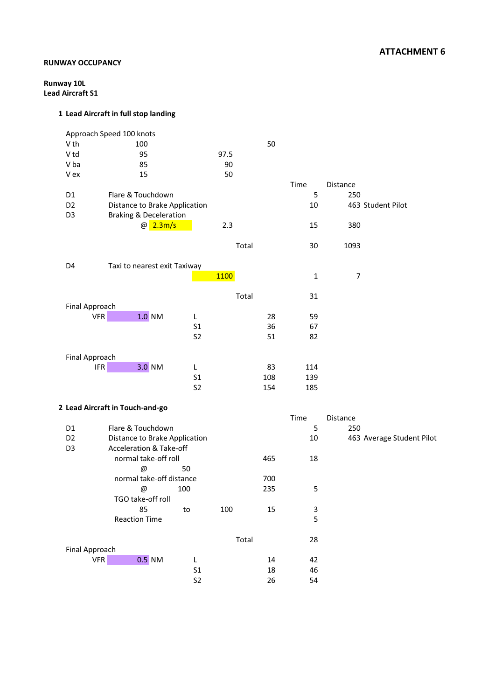## **ATTACHMENT 6**

### **RUNWAY OCCUPANCY**

**Runway 10L Lead Aircraft S1**

|                       | Approach Speed 100 knots          |                |       |     |      |          |                           |
|-----------------------|-----------------------------------|----------------|-------|-----|------|----------|---------------------------|
| V th                  | 100                               |                |       | 50  |      |          |                           |
| V <sub>td</sub>       | 95                                |                | 97.5  |     |      |          |                           |
| V ba                  | 85                                |                | 90    |     |      |          |                           |
| V ex                  | 15                                |                | 50    |     |      |          |                           |
|                       |                                   |                |       |     | Time | Distance |                           |
| D1                    | Flare & Touchdown                 |                |       |     | 5    | 250      |                           |
| D <sub>2</sub>        | Distance to Brake Application     |                |       |     | 10   |          | 463 Student Pilot         |
| D <sub>3</sub>        | <b>Braking &amp; Deceleration</b> |                |       |     |      |          |                           |
|                       | @ 2.3m/s                          |                | 2.3   |     | 15   | 380      |                           |
|                       |                                   |                |       |     |      |          |                           |
|                       |                                   |                | Total |     | 30   | 1093     |                           |
| D4                    | Taxi to nearest exit Taxiway      |                |       |     |      |          |                           |
|                       |                                   |                | 1100  |     | 1    | 7        |                           |
|                       |                                   |                |       |     |      |          |                           |
|                       |                                   |                | Total |     | 31   |          |                           |
| Final Approach        |                                   |                |       |     |      |          |                           |
| <b>VFR</b>            | $1.0$ NM                          | L              |       | 28  | 59   |          |                           |
|                       |                                   | S <sub>1</sub> |       | 36  | 67   |          |                           |
|                       |                                   | S <sub>2</sub> |       | 51  | 82   |          |                           |
|                       |                                   |                |       |     |      |          |                           |
| Final Approach        |                                   |                |       |     |      |          |                           |
|                       | 3.0 NM<br><b>IFR</b>              | L              |       | 83  | 114  |          |                           |
|                       |                                   | S <sub>1</sub> |       | 108 | 139  |          |                           |
|                       |                                   | S <sub>2</sub> |       | 154 | 185  |          |                           |
|                       | 2 Lead Aircraft in Touch-and-go   |                |       |     |      |          |                           |
|                       |                                   |                |       |     | Time | Distance |                           |
| D <sub>1</sub>        | Flare & Touchdown                 |                |       |     | 5    | 250      |                           |
| D <sub>2</sub>        | Distance to Brake Application     |                |       |     | 10   |          | 463 Average Student Pilot |
| D <sub>3</sub>        | Acceleration & Take-off           |                |       |     |      |          |                           |
|                       | normal take-off roll              |                |       | 465 | 18   |          |                           |
|                       | @                                 | 50             |       |     |      |          |                           |
|                       | normal take-off distance          |                |       | 700 |      |          |                           |
|                       | @                                 | 100            |       | 235 | 5    |          |                           |
|                       | TGO take-off roll                 |                |       |     |      |          |                           |
|                       | 85                                | to             | 100   | 15  | 3    |          |                           |
|                       | <b>Reaction Time</b>              |                |       |     | 5    |          |                           |
|                       |                                   |                |       |     |      |          |                           |
| <b>Final Approach</b> |                                   |                | Total |     | 28   |          |                           |
| <b>VFR</b>            | $0.5$ NM                          | L              |       | 14  | 42   |          |                           |
|                       |                                   | S <sub>1</sub> |       | 18  | 46   |          |                           |
|                       |                                   | S <sub>2</sub> |       | 26  | 54   |          |                           |
|                       |                                   |                |       |     |      |          |                           |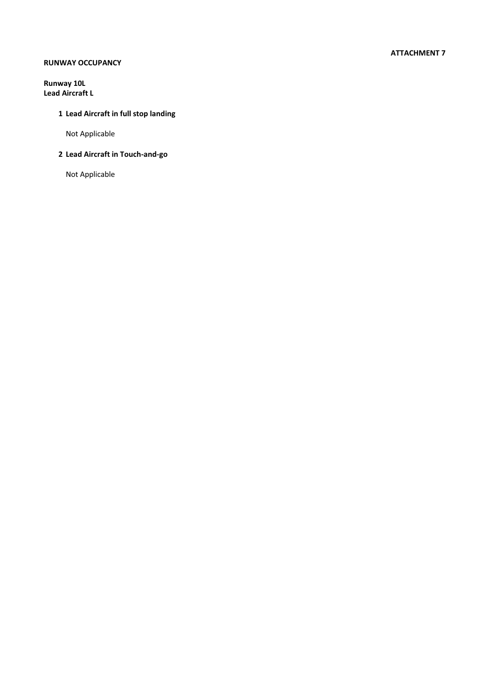#### **ATTACHMENT 7**

### **RUNWAY OCCUPANCY**

**Runway 10L Lead Aircraft L**

## **1 Lead Aircraft in full stop landing**

Not Applicable

### **2 Lead Aircraft in Touch-and-go**

Not Applicable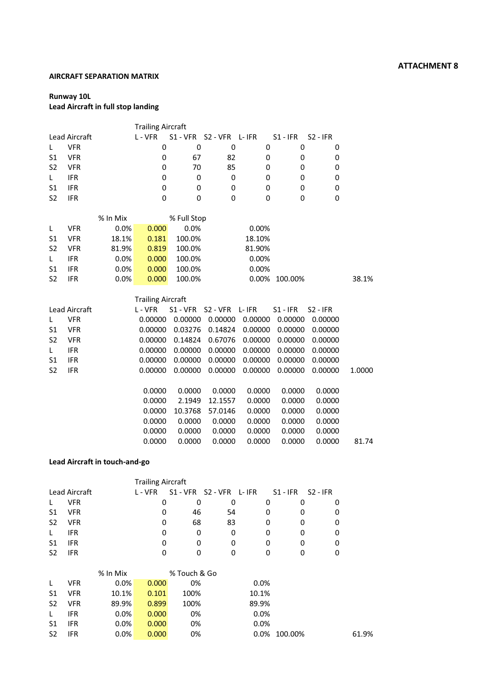#### **AIRCRAFT SEPARATION MATRIX**

### **Runway 10L**

## **Lead Aircraft in full stop landing**

|                |                      |          | <b>Trailing Aircraft</b> |             |                      |         |             |             |        |
|----------------|----------------------|----------|--------------------------|-------------|----------------------|---------|-------------|-------------|--------|
|                | Lead Aircraft        |          | L - VFR                  | $S1 - VFR$  | S2 - VFR L- IFR      |         | $S1 - IFR$  | $S2 - IFR$  |        |
| L              | <b>VFR</b>           |          | 0                        | 0           | 0                    | 0       | 0           | 0           |        |
| S1             | <b>VFR</b>           |          | 0                        | 67          | 82                   | 0       | 0           | 0           |        |
| S <sub>2</sub> | <b>VFR</b>           |          | 0                        | 70          | 85                   | 0       | 0           | 0           |        |
| L              | <b>IFR</b>           |          | 0                        | 0           | 0                    | 0       | $\mathbf 0$ | 0           |        |
| S1             | <b>IFR</b>           |          | 0                        | 0           | 0                    | 0       | 0           | 0           |        |
| S <sub>2</sub> | <b>IFR</b>           |          | 0                        | 0           | 0                    | 0       | $\mathbf 0$ | $\mathbf 0$ |        |
|                |                      | % In Mix |                          | % Full Stop |                      |         |             |             |        |
| L              | <b>VFR</b>           | 0.0%     | 0.000                    | 0.0%        |                      | 0.00%   |             |             |        |
| S1             | <b>VFR</b>           | 18.1%    | 0.181                    | 100.0%      |                      | 18.10%  |             |             |        |
| S <sub>2</sub> | <b>VFR</b>           | 81.9%    | 0.819                    | 100.0%      |                      | 81.90%  |             |             |        |
| L.             | <b>IFR</b>           | 0.0%     | 0.000                    | 100.0%      |                      | 0.00%   |             |             |        |
| S1             | <b>IFR</b>           | 0.0%     | 0.000                    | 100.0%      |                      | 0.00%   |             |             |        |
| S <sub>2</sub> | <b>IFR</b>           | 0.0%     | 0.000                    | 100.0%      |                      | 0.00%   | 100.00%     |             | 38.1%  |
|                |                      |          | <b>Trailing Aircraft</b> |             |                      |         |             |             |        |
|                | <b>Lead Aircraft</b> |          | L - VFR                  | S1 - VFR    | S <sub>2</sub> - VFR | L- IFR  | $S1 - IFR$  | $S2 - IFR$  |        |
| L              | <b>VFR</b>           |          | 0.00000                  | 0.00000     | 0.00000              | 0.00000 | 0.00000     | 0.00000     |        |
| S1             | <b>VFR</b>           |          | 0.00000                  | 0.03276     | 0.14824              | 0.00000 | 0.00000     | 0.00000     |        |
| S <sub>2</sub> | <b>VFR</b>           |          | 0.00000                  | 0.14824     | 0.67076              | 0.00000 | 0.00000     | 0.00000     |        |
| L              | <b>IFR</b>           |          | 0.00000                  | 0.00000     | 0.00000              | 0.00000 | 0.00000     | 0.00000     |        |
| S1             | <b>IFR</b>           |          | 0.00000                  | 0.00000     | 0.00000              | 0.00000 | 0.00000     | 0.00000     |        |
| S <sub>2</sub> | <b>IFR</b>           |          | 0.00000                  | 0.00000     | 0.00000              | 0.00000 | 0.00000     | 0.00000     | 1.0000 |
|                |                      |          | 0.0000                   | 0.0000      | 0.0000               | 0.0000  | 0.0000      | 0.0000      |        |
|                |                      |          | 0.0000                   | 2.1949      | 12.1557              | 0.0000  | 0.0000      | 0.0000      |        |
|                |                      |          | 0.0000                   | 10.3768     | 57.0146              | 0.0000  | 0.0000      | 0.0000      |        |
|                |                      |          | 0.0000                   | 0.0000      | 0.0000               | 0.0000  | 0.0000      | 0.0000      |        |
|                |                      |          | 0.0000                   | 0.0000      | 0.0000               | 0.0000  | 0.0000      | 0.0000      |        |
|                |                      |          | 0.0000                   | 0.0000      | 0.0000               | 0.0000  | 0.0000      | 0.0000      | 81.74  |

#### **Lead Aircraft in touch-and-go**

|                |                      |          | <b>Trailing Aircraft</b> |              |                 |         |            |            |       |
|----------------|----------------------|----------|--------------------------|--------------|-----------------|---------|------------|------------|-------|
|                | <b>Lead Aircraft</b> |          | L - VFR                  | $S1 - VFR$   | S2 - VFR L- IFR |         | $S1 - IFR$ | $S2 - IFR$ |       |
| L              | <b>VFR</b>           |          | 0                        | 0            | 0               | 0       | 0          | 0          |       |
| S1             | <b>VFR</b>           |          | 0                        | 46           | 54              | 0       | 0          | 0          |       |
| S <sub>2</sub> | <b>VFR</b>           |          | 0                        | 68           | 83              | 0       | 0          | 0          |       |
| L              | <b>IFR</b>           |          | 0                        | 0            | 0               | 0       | 0          | 0          |       |
| S1             | <b>IFR</b>           |          | 0                        | 0            | 0               | 0       | 0          | 0          |       |
| S <sub>2</sub> | <b>IFR</b>           |          | 0                        | 0            | 0               | 0       | 0          | 0          |       |
|                |                      |          |                          |              |                 |         |            |            |       |
|                |                      | % In Mix |                          | % Touch & Go |                 |         |            |            |       |
| L              | <b>VFR</b>           | 0.0%     | 0.000                    | 0%           |                 | 0.0%    |            |            |       |
| S1             | <b>VFR</b>           | 10.1%    | 0.101                    | 100%         |                 | 10.1%   |            |            |       |
| S <sub>2</sub> | <b>VFR</b>           | 89.9%    | 0.899                    | 100%         |                 | 89.9%   |            |            |       |
| L              | <b>IFR</b>           | 0.0%     | 0.000                    | 0%           |                 | 0.0%    |            |            |       |
| S1             | <b>IFR</b>           | 0.0%     | 0.000                    | 0%           |                 | 0.0%    |            |            |       |
| S <sub>2</sub> | <b>IFR</b>           | 0.0%     | 0.000                    | 0%           |                 | $0.0\%$ | 100.00%    |            | 61.9% |